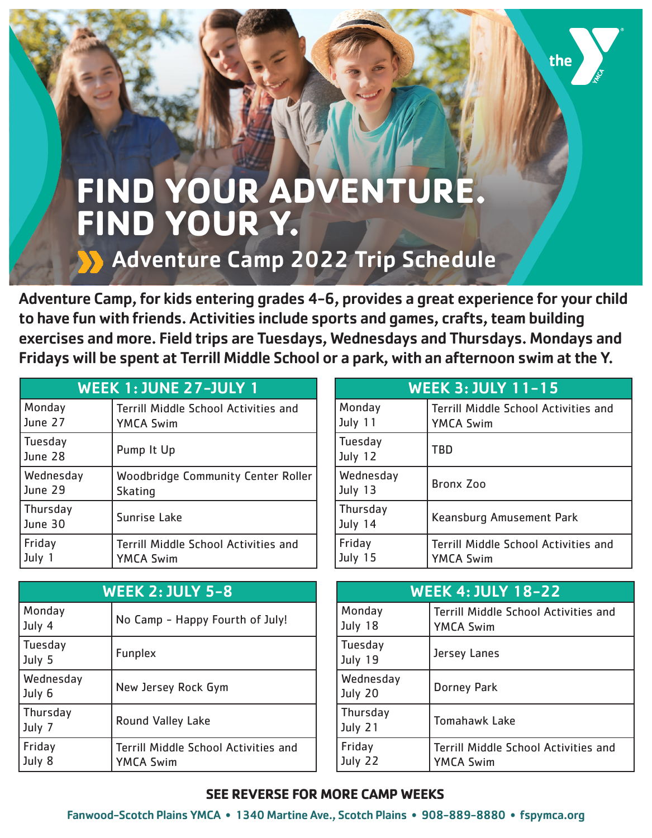## **FIND YOUR ADVENTURE. FIND YOUR Y.**

## Adventure Camp 2022 Trip Schedule

Adventure Camp, for kids entering grades 4-6, provides a great experience for your child to have fun with friends. Activities include sports and games, crafts, team building exercises and more. Field trips are Tuesdays, Wednesdays and Thursdays. Mondays and Fridays will be spent at Terrill Middle School or a park, with an afternoon swim at the Y.

| <b>WEEK 1: JUNE 27-JULY 1</b> |                                             |
|-------------------------------|---------------------------------------------|
| Monday                        | <b>Terrill Middle School Activities and</b> |
| June 27                       | <b>YMCA Swim</b>                            |
| Tuesday<br>June 28            | Pump It Up                                  |
| Wednesday                     | <b>Woodbridge Community Center Roller</b>   |
| June 29                       | <b>Skating</b>                              |
| Thursday<br>June 30           | Sunrise Lake                                |
| Friday                        | <b>Terrill Middle School Activities and</b> |
| July                          | <b>YMCA Swim</b>                            |

| <b>WEEK 2: JULY 5-8</b> |                                                          |
|-------------------------|----------------------------------------------------------|
| Monday<br>July 4        | No Camp - Happy Fourth of July!                          |
| Tuesday<br>July 5       | <b>Funplex</b>                                           |
| Wednesday<br>July 6     | New Jersey Rock Gym                                      |
| Thursday<br>July 7      | <b>Round Valley Lake</b>                                 |
| Friday<br>July 8        | Terrill Middle School Activities and<br><b>YMCA Swim</b> |

| <b>WEEK 3: JULY 11-15</b>  |                                                          |
|----------------------------|----------------------------------------------------------|
| Monday<br>July 11          | Terrill Middle School Activities and<br><b>YMCA Swim</b> |
| <b>Tuesday</b><br>July 12  | <b>TBD</b>                                               |
| Wednesday<br>July 13       | <b>Bronx Zoo</b>                                         |
| <b>Thursday</b><br>July 14 | Keansburg Amusement Park                                 |
| Friday<br>July 15          | Terrill Middle School Activities and<br><b>YMCA Swim</b> |

the

| <b>WEEK 4: JULY 18-22</b>  |                                                          |
|----------------------------|----------------------------------------------------------|
| Monday<br>July 18          | Terrill Middle School Activities and<br><b>YMCA Swim</b> |
| <b>Tuesday</b><br>July 19  | Jersey Lanes                                             |
| Wednesday<br>July 20       | <b>Dorney Park</b>                                       |
| <b>Thursday</b><br>July 21 | <b>Tomahawk Lake</b>                                     |
| Friday<br>July 22          | Terrill Middle School Activities and<br><b>YMCA Swim</b> |

## **SEE REVERSE FOR MORE CAMP WEEKS**